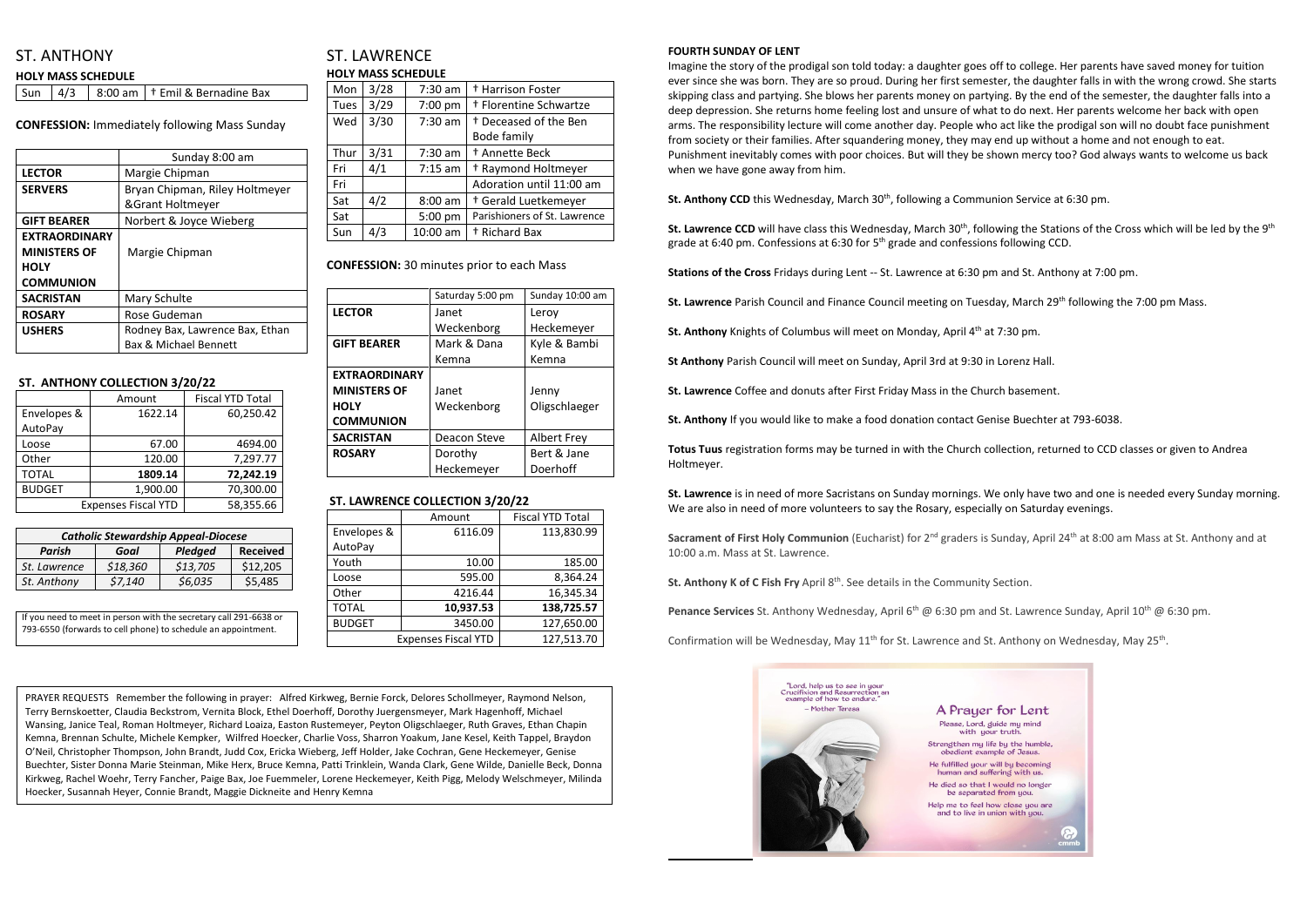# ST. ANTHONY

|  | <b>HOLY MASS SCHEDULE</b> |  |
|--|---------------------------|--|
|  |                           |  |

| Sun $\vert 4/3 \vert$ |  |  | $\vert$ 8:00 am $\vert$ † Emil & Bernadine Bax |
|-----------------------|--|--|------------------------------------------------|
|-----------------------|--|--|------------------------------------------------|

**CONFESSION:** Immediately following Mass Sunday

|                      | Sunday 8:00 am                   |  |
|----------------------|----------------------------------|--|
| <b>LECTOR</b>        | Margie Chipman                   |  |
| <b>SERVERS</b>       | Bryan Chipman, Riley Holtmeyer   |  |
|                      | &Grant Holtmeyer                 |  |
| <b>GIFT BEARER</b>   | Norbert & Joyce Wieberg          |  |
| <b>EXTRAORDINARY</b> |                                  |  |
| <b>MINISTERS OF</b>  | Margie Chipman                   |  |
| <b>HOLY</b>          |                                  |  |
| <b>COMMUNION</b>     |                                  |  |
| <b>SACRISTAN</b>     | Mary Schulte                     |  |
| <b>ROSARY</b>        | Rose Gudeman                     |  |
| <b>USHERS</b>        | Rodney Bax, Lawrence Bax, Ethan  |  |
|                      | <b>Bax &amp; Michael Bennett</b> |  |

## **ST. ANTHONY COLLECTION 3/20/22**

|                            | Amount    | <b>Fiscal YTD Total</b> |  |
|----------------------------|-----------|-------------------------|--|
| Envelopes &                | 1622.14   | 60,250.42               |  |
| AutoPay                    |           |                         |  |
| Loose                      | 67.00     | 4694.00                 |  |
| Other                      | 120.00    | 7,297.77                |  |
| <b>TOTAL</b>               | 1809.14   | 72,242.19               |  |
| <b>BUDGET</b>              | 1,900.00  | 70,300.00               |  |
| <b>Expenses Fiscal YTD</b> | 58,355.66 |                         |  |

# ST. LAWRENCE **HOLY MASS SCHEDULE**

| 3/28 | 7:30 am   | <sup>+</sup> Harrison Foster      |
|------|-----------|-----------------------------------|
| 3/29 | 7:00 pm   | <sup>†</sup> Florentine Schwartze |
| 3/30 | $7:30$ am | <sup>+</sup> Deceased of the Ben  |
|      |           | Bode family                       |
| 3/31 | $7:30$ am | <sup>†</sup> Annette Beck         |
| 4/1  | $7:15$ am | <sup>†</sup> Raymond Holtmeyer    |
|      |           | Adoration until 11:00 am          |
| 4/2  | $8:00$ am | <sup>†</sup> Gerald Luetkemeyer   |
|      | 5:00 pm   | Parishioners of St. Lawrence      |
| 4/3  | 10:00 am  | <sup>+</sup> Richard Bax          |
|      |           |                                   |

**CONFESSION:** 30 minutes prior to each Mass

|                      | Saturday 5:00 pm | Sunday 10:00 am    |  |
|----------------------|------------------|--------------------|--|
| <b>LECTOR</b>        | Janet            | Leroy              |  |
|                      | Weckenborg       | Heckemeyer         |  |
| <b>GIFT BEARER</b>   | Mark & Dana      | Kyle & Bambi       |  |
|                      | Kemna            | Kemna              |  |
| <b>EXTRAORDINARY</b> |                  |                    |  |
| <b>MINISTERS OF</b>  | Janet            | Jenny              |  |
| <b>HOLY</b>          | Weckenborg       | Oligschlaeger      |  |
| <b>COMMUNION</b>     |                  |                    |  |
| <b>SACRISTAN</b>     | Deacon Steve     | <b>Albert Frey</b> |  |
| <b>ROSARY</b>        | Dorothy          | Bert & Jane        |  |
|                      | Heckemeyer       | Doerhoff           |  |

## **ST. LAWRENCE COLLECTION 3/20/22**

|               | Amount                     | <b>Fiscal YTD Total</b> |  |
|---------------|----------------------------|-------------------------|--|
| Envelopes &   | 6116.09                    | 113,830.99              |  |
| AutoPay       |                            |                         |  |
| Youth         | 10.00                      | 185.00                  |  |
| Loose         | 595.00                     | 8,364.24                |  |
| Other         | 4216.44                    | 16,345.34               |  |
| <b>TOTAL</b>  | 10,937.53                  | 138,725.57              |  |
| <b>BUDGET</b> | 3450.00                    | 127,650.00              |  |
|               | <b>Expenses Fiscal YTD</b> | 127,513.70              |  |

#### **FOURTH SUNDAY OF LENT**

**Sacrament of First Holy Communion** (Eucharist) for 2<sup>nd</sup> graders is Sunday, April 24<sup>th</sup> at 8:00 am Mass at St. Anthony and at 10:00 a.m. Mass at St. Lawrence.

Imagine the story of the prodigal son told today: a daughter goes off to college. Her parents have saved money for tuition ever since she was born. They are so proud. During her first semester, the daughter falls in with the wrong crowd. She starts skipping class and partying. She blows her parents money on partying. By the end of the semester, the daughter falls into a deep depression. She returns home feeling lost and unsure of what to do next. Her parents welcome her back with open arms. The responsibility lecture will come another day. People who act like the prodigal son will no doubt face punishment from society or their families. After squandering money, they may end up without a home and not enough to eat. Punishment inevitably comes with poor choices. But will they be shown mercy too? God always wants to welcome us back when we have gone away from him.

**St. Anthony CCD** this Wednesday, March 30<sup>th</sup>, following a Communion Service at 6:30 pm.

St. Lawrence CCD will have class this Wednesday, March 30<sup>th</sup>, following the Stations of the Cross which will be led by the 9<sup>th</sup> grade at 6:40 pm. Confessions at 6:30 for 5<sup>th</sup> grade and confessions following CCD.

**Stations of the Cross** Fridays during Lent -- St. Lawrence at 6:30 pm and St. Anthony at 7:00 pm.

**St. Lawrence** Parish Council and Finance Council meeting on Tuesday, March 29th following the 7:00 pm Mass.

**St. Anthony** Knights of Columbus will meet on Monday, April 4<sup>th</sup> at 7:30 pm.

**St Anthony** Parish Council will meet on Sunday, April 3rd at 9:30 in Lorenz Hall.

**St. Lawrence** Coffee and donuts after First Friday Mass in the Church basement.

**St. Anthony** If you would like to make a food donation contact Genise Buechter at 793-6038.

**Totus Tuus** registration forms may be turned in with the Church collection, returned to CCD classes or given to Andrea Holtmeyer.

**St. Lawrence** is in need of more Sacristans on Sunday mornings. We only have two and one is needed every Sunday morning. We are also in need of more volunteers to say the Rosary, especially on Saturday evenings.

**St. Anthony K of C Fish Fry** April 8 th . See details in the Community Section.

**Penance Services** St. Anthony Wednesday, April 6<sup>th</sup> @ 6:30 pm and St. Lawrence Sunday, April 10<sup>th</sup> @ 6:30 pm.

Confirmation will be Wednesday, May  $11<sup>th</sup>$  for St. Lawrence and St. Anthony on Wednesday, May 25<sup>th</sup>.



 $\overline{a}$ 



| <b>Catholic Stewardship Appeal-Diocese</b>   |          |          |          |  |  |  |
|----------------------------------------------|----------|----------|----------|--|--|--|
| <b>Received</b><br>Parish<br>Pledged<br>Goal |          |          |          |  |  |  |
| St. Lawrence                                 | \$18,360 | \$13,705 | \$12,205 |  |  |  |
| St. Anthony                                  | \$7,140  | \$6,035  | \$5,485  |  |  |  |

| If you need to meet in person with the secretary call 291-6638 or |
|-------------------------------------------------------------------|
| 793-6550 (forwards to cell phone) to schedule an appointment.     |

PRAYER REQUESTS Remember the following in prayer: Alfred Kirkweg, Bernie Forck, Delores Schollmeyer, Raymond Nelson, Terry Bernskoetter, Claudia Beckstrom, Vernita Block, Ethel Doerhoff, Dorothy Juergensmeyer, Mark Hagenhoff, Michael Wansing, Janice Teal, Roman Holtmeyer, Richard Loaiza, Easton Rustemeyer, Peyton Oligschlaeger, Ruth Graves, Ethan Chapin Kemna, Brennan Schulte, Michele Kempker, Wilfred Hoecker, Charlie Voss, Sharron Yoakum, Jane Kesel, Keith Tappel, Braydon O'Neil, Christopher Thompson, John Brandt, Judd Cox, Ericka Wieberg, Jeff Holder, Jake Cochran, Gene Heckemeyer, Genise Buechter, Sister Donna Marie Steinman, Mike Herx, Bruce Kemna, Patti Trinklein, Wanda Clark, Gene Wilde, Danielle Beck, Donna Kirkweg, Rachel Woehr, Terry Fancher, Paige Bax, Joe Fuemmeler, Lorene Heckemeyer, Keith Pigg, Melody Welschmeyer, Milinda Hoecker, Susannah Heyer, Connie Brandt, Maggie Dickneite and Henry Kemna